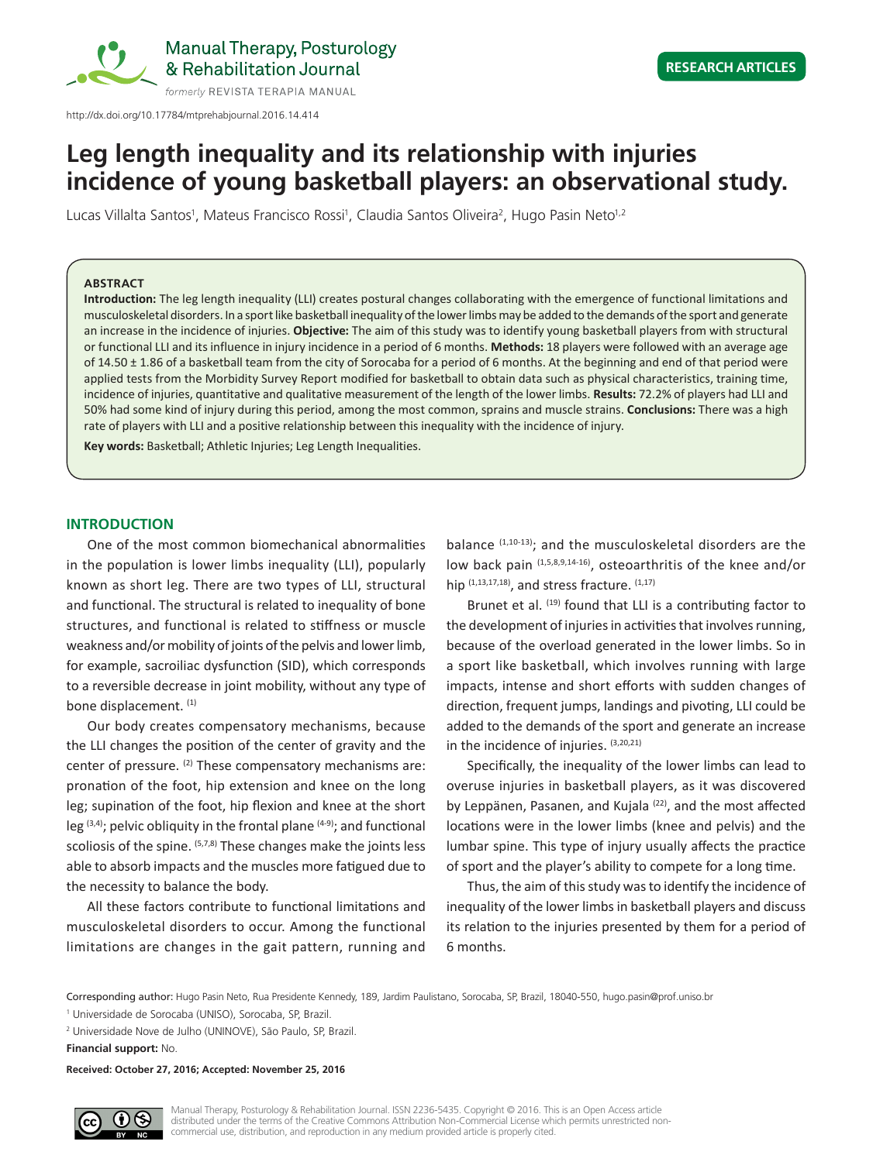

# **Leg length inequality and its relationship with injuries incidence of young basketball players: an observational study.**

Lucas Villalta Santos<sup>i</sup>, Mateus Francisco Rossi<sup>i</sup>, Claudia Santos Oliveira<sup>2</sup>, Hugo Pasin Neto<sup>1,2</sup>

#### **ABSTRACT**

**Introduction:** The leg length inequality (LLI) creates postural changes collaborating with the emergence of functional limitations and musculoskeletal disorders. In a sport like basketball inequality of the lower limbs may be added to the demands of the sport and generate an increase in the incidence of injuries. **Objective:** The aim of this study was to identify young basketball players from with structural or functional LLI and its influence in injury incidence in a period of 6 months. **Methods:** 18 players were followed with an average age of 14.50 ± 1.86 of a basketball team from the city of Sorocaba for a period of 6 months. At the beginning and end of that period were applied tests from the Morbidity Survey Report modified for basketball to obtain data such as physical characteristics, training time, incidence of injuries, quantitative and qualitative measurement of the length of the lower limbs. **Results:** 72.2% of players had LLI and 50% had some kind of injury during this period, among the most common, sprains and muscle strains. **Conclusions:** There was a high rate of players with LLI and a positive relationship between this inequality with the incidence of injury.

**Key words:** Basketball; Athletic Injuries; Leg Length Inequalities.

#### **INTRODUCTION**

One of the most common biomechanical abnormalities in the population is lower limbs inequality (LLI), popularly known as short leg. There are two types of LLI, structural and functional. The structural is related to inequality of bone structures, and functional is related to stiffness or muscle weakness and/or mobility of joints of the pelvis and lower limb, for example, sacroiliac dysfunction (SID), which corresponds to a reversible decrease in joint mobility, without any type of bone displacement. (1)

Our body creates compensatory mechanisms, because the LLI changes the position of the center of gravity and the center of pressure.  $(2)$  These compensatory mechanisms are: pronation of the foot, hip extension and knee on the long leg; supination of the foot, hip flexion and knee at the short leg  $(3,4)$ ; pelvic obliquity in the frontal plane  $(4-9)$ ; and functional scoliosis of the spine. (5,7,8) These changes make the joints less able to absorb impacts and the muscles more fatigued due to the necessity to balance the body.

All these factors contribute to functional limitations and musculoskeletal disorders to occur. Among the functional limitations are changes in the gait pattern, running and

balance  $(1,10-13)$ ; and the musculoskeletal disorders are the low back pain  $(1,5,8,9,14-16)$ , osteoarthritis of the knee and/or hip  $(1,13,17,18)$ , and stress fracture.  $(1,17)$ 

Brunet et al. (19) found that LLI is a contributing factor to the development of injuries in activities that involves running, because of the overload generated in the lower limbs. So in a sport like basketball, which involves running with large impacts, intense and short efforts with sudden changes of direction, frequent jumps, landings and pivoting, LLI could be added to the demands of the sport and generate an increase in the incidence of injuries. (3,20,21)

Specifically, the inequality of the lower limbs can lead to overuse injuries in basketball players, as it was discovered by Leppänen, Pasanen, and Kujala<sup>(22)</sup>, and the most affected locations were in the lower limbs (knee and pelvis) and the lumbar spine. This type of injury usually affects the practice of sport and the player's ability to compete for a long time.

Thus, the aim of this study was to identify the incidence of inequality of the lower limbs in basketball players and discuss its relation to the injuries presented by them for a period of 6 months.

Corresponding author: Hugo Pasin Neto, Rua Presidente Kennedy, 189, Jardim Paulistano, Sorocaba, SP, Brazil, 18040-550, hugo.pasin@prof.uniso.br

<sup>1</sup> Universidade de Sorocaba (UNISO), Sorocaba, SP, Brazil.

<sup>2</sup> Universidade Nove de Julho (UNINOVE), São Paulo, SP, Brazil.

**Financial support:** No.

**Received: October 27, 2016; Accepted: November 25, 2016**

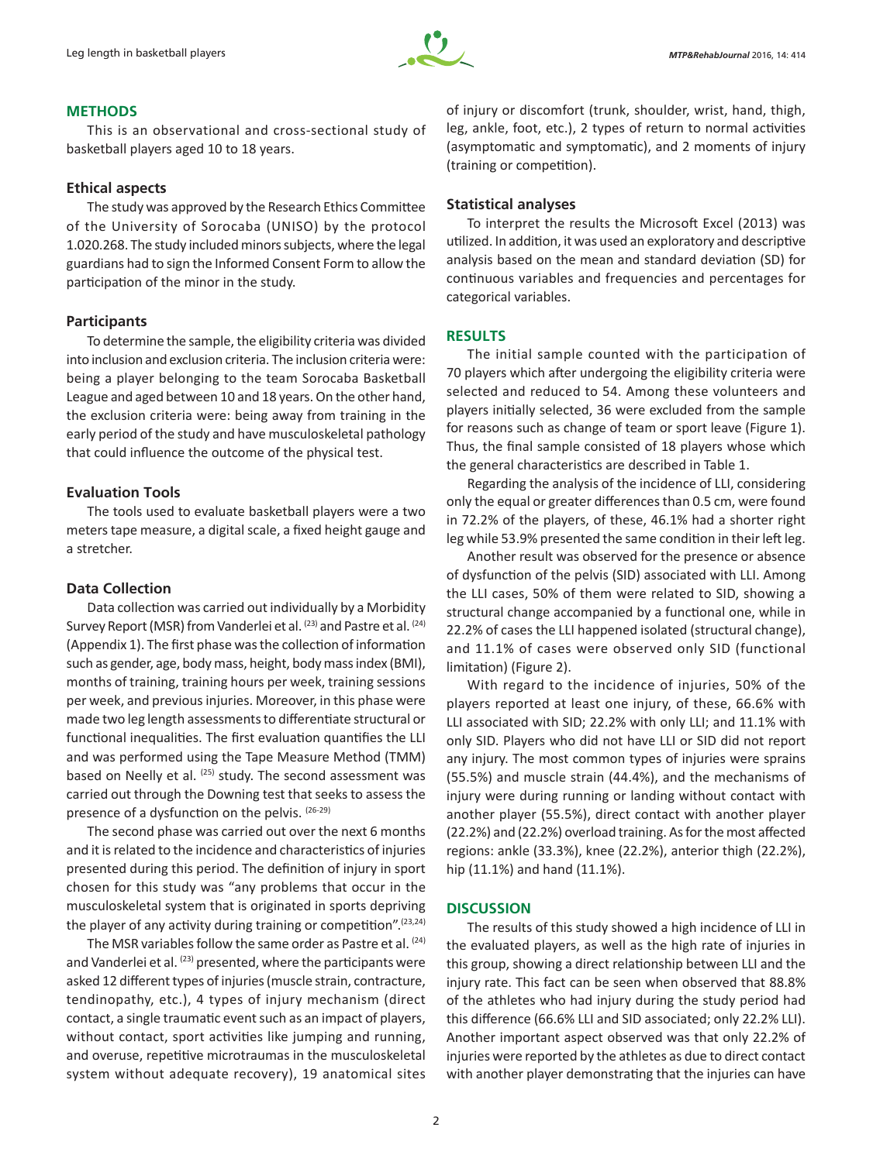

### **METHODS**

This is an observational and cross-sectional study of basketball players aged 10 to 18 years.

#### **Ethical aspects**

The study was approved by the Research Ethics Committee of the University of Sorocaba (UNISO) by the protocol 1.020.268. The study included minors subjects, where the legal guardians had to sign the Informed Consent Form to allow the participation of the minor in the study.

#### **Participants**

To determine the sample, the eligibility criteria was divided into inclusion and exclusion criteria. The inclusion criteria were: being a player belonging to the team Sorocaba Basketball League and aged between 10 and 18 years. On the other hand, the exclusion criteria were: being away from training in the early period of the study and have musculoskeletal pathology that could influence the outcome of the physical test.

## **Evaluation Tools**

The tools used to evaluate basketball players were a two meters tape measure, a digital scale, a fixed height gauge and a stretcher.

#### **Data Collection**

Data collection was carried out individually by a Morbidity Survey Report (MSR) from Vanderlei et al. (23) and Pastre et al. (24) (Appendix 1). The first phase was the collection of information such as gender, age, body mass, height, body mass index (BMI), months of training, training hours per week, training sessions per week, and previous injuries. Moreover, in this phase were made two leg length assessments to differentiate structural or functional inequalities. The first evaluation quantifies the LLI and was performed using the Tape Measure Method (TMM) based on Neelly et al. (25) study. The second assessment was carried out through the Downing test that seeks to assess the presence of a dysfunction on the pelvis. (26-29)

The second phase was carried out over the next 6 months and it is related to the incidence and characteristics of injuries presented during this period. The definition of injury in sport chosen for this study was "any problems that occur in the musculoskeletal system that is originated in sports depriving the player of any activity during training or competition". $(23,24)$ 

The MSR variables follow the same order as Pastre et al. <sup>(24)</sup> and Vanderlei et al. (23) presented, where the participants were asked 12 different types of injuries (muscle strain, contracture, tendinopathy, etc.), 4 types of injury mechanism (direct contact, a single traumatic event such as an impact of players, without contact, sport activities like jumping and running, and overuse, repetitive microtraumas in the musculoskeletal system without adequate recovery), 19 anatomical sites

of injury or discomfort (trunk, shoulder, wrist, hand, thigh, leg, ankle, foot, etc.), 2 types of return to normal activities (asymptomatic and symptomatic), and 2 moments of injury (training or competition).

## **Statistical analyses**

To interpret the results the Microsoft Excel (2013) was utilized. In addition, it was used an exploratory and descriptive analysis based on the mean and standard deviation (SD) for continuous variables and frequencies and percentages for categorical variables.

#### **RESULTS**

The initial sample counted with the participation of 70 players which after undergoing the eligibility criteria were selected and reduced to 54. Among these volunteers and players initially selected, 36 were excluded from the sample for reasons such as change of team or sport leave (Figure 1). Thus, the final sample consisted of 18 players whose which the general characteristics are described in Table 1.

Regarding the analysis of the incidence of LLI, considering only the equal or greater differences than 0.5 cm, were found in 72.2% of the players, of these, 46.1% had a shorter right leg while 53.9% presented the same condition in their left leg.

Another result was observed for the presence or absence of dysfunction of the pelvis (SID) associated with LLI. Among the LLI cases, 50% of them were related to SID, showing a structural change accompanied by a functional one, while in 22.2% of cases the LLI happened isolated (structural change), and 11.1% of cases were observed only SID (functional limitation) (Figure 2).

With regard to the incidence of injuries, 50% of the players reported at least one injury, of these, 66.6% with LLI associated with SID; 22.2% with only LLI; and 11.1% with only SID. Players who did not have LLI or SID did not report any injury. The most common types of injuries were sprains (55.5%) and muscle strain (44.4%), and the mechanisms of injury were during running or landing without contact with another player (55.5%), direct contact with another player (22.2%) and (22.2%) overload training. As for the most affected regions: ankle (33.3%), knee (22.2%), anterior thigh (22.2%), hip (11.1%) and hand (11.1%).

#### **DISCUSSION**

The results of this study showed a high incidence of LLI in the evaluated players, as well as the high rate of injuries in this group, showing a direct relationship between LLI and the injury rate. This fact can be seen when observed that 88.8% of the athletes who had injury during the study period had this difference (66.6% LLI and SID associated; only 22.2% LLI). Another important aspect observed was that only 22.2% of injuries were reported by the athletes as due to direct contact with another player demonstrating that the injuries can have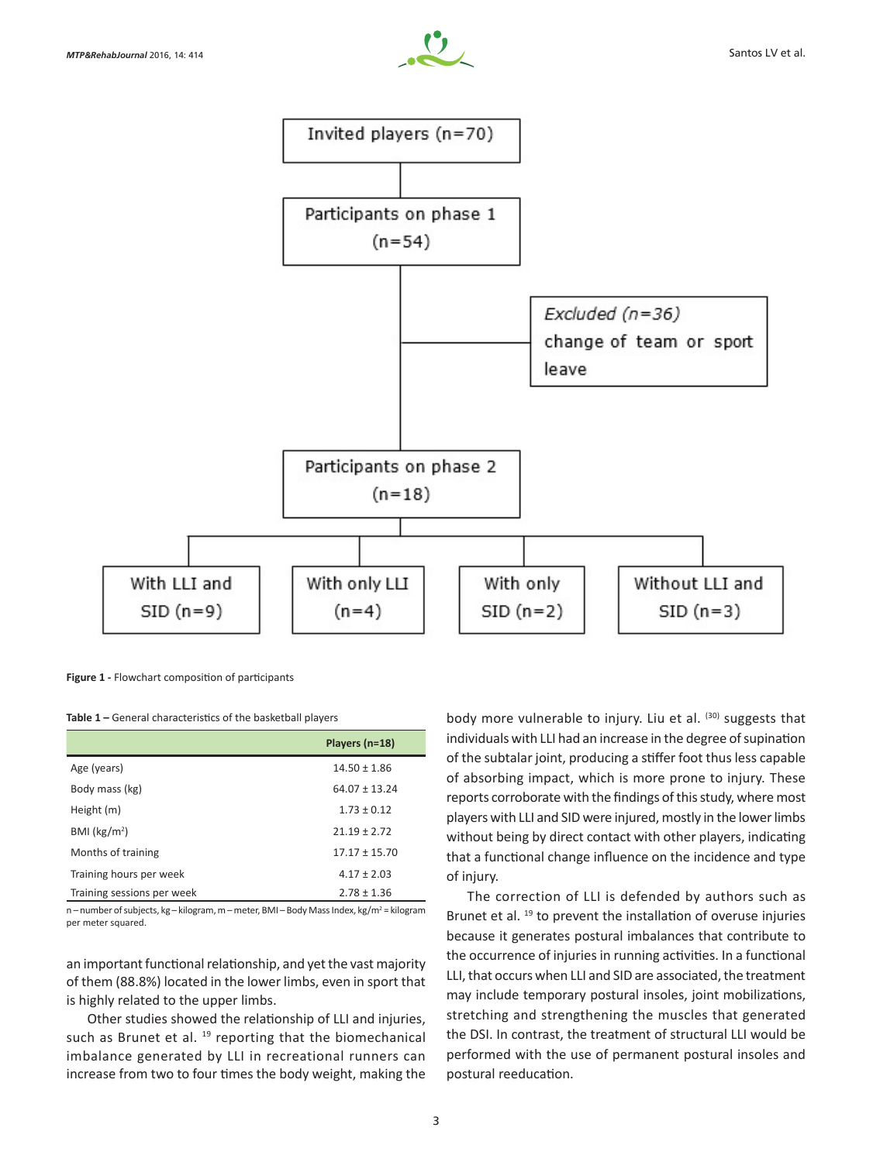



**Figure 1 -** Flowchart composition of participants

**Table 1 –** General characteristics of the basketball players

|                            | Players (n=18)    |
|----------------------------|-------------------|
| Age (years)                | $14.50 \pm 1.86$  |
| Body mass (kg)             | $64.07 \pm 13.24$ |
| Height (m)                 | $1.73 \pm 0.12$   |
| BMI (kg/m <sup>2</sup> )   | $21.19 \pm 2.72$  |
| Months of training         | $17.17 \pm 15.70$ |
| Training hours per week    | $4.17 \pm 2.03$   |
| Training sessions per week | $2.78 \pm 1.36$   |

n – number of subjects, kg – kilogram, m – meter, BMI – Body Mass Index, kg/m<sup>2</sup> = kilogram per meter squared.

an important functional relationship, and yet the vast majority of them (88.8%) located in the lower limbs, even in sport that is highly related to the upper limbs.

Other studies showed the relationship of LLI and injuries, such as Brunet et al. <sup>19</sup> reporting that the biomechanical imbalance generated by LLI in recreational runners can increase from two to four times the body weight, making the body more vulnerable to injury. Liu et al. (30) suggests that individuals with LLI had an increase in the degree of supination of the subtalar joint, producing a stiffer foot thus less capable of absorbing impact, which is more prone to injury. These reports corroborate with the findings of this study, where most players with LLI and SID were injured, mostly in the lower limbs without being by direct contact with other players, indicating that a functional change influence on the incidence and type of injury.

The correction of LLI is defended by authors such as Brunet et al.<sup>19</sup> to prevent the installation of overuse injuries because it generates postural imbalances that contribute to the occurrence of injuries in running activities. In a functional LLI, that occurs when LLI and SID are associated, the treatment may include temporary postural insoles, joint mobilizations, stretching and strengthening the muscles that generated the DSI. In contrast, the treatment of structural LLI would be performed with the use of permanent postural insoles and postural reeducation.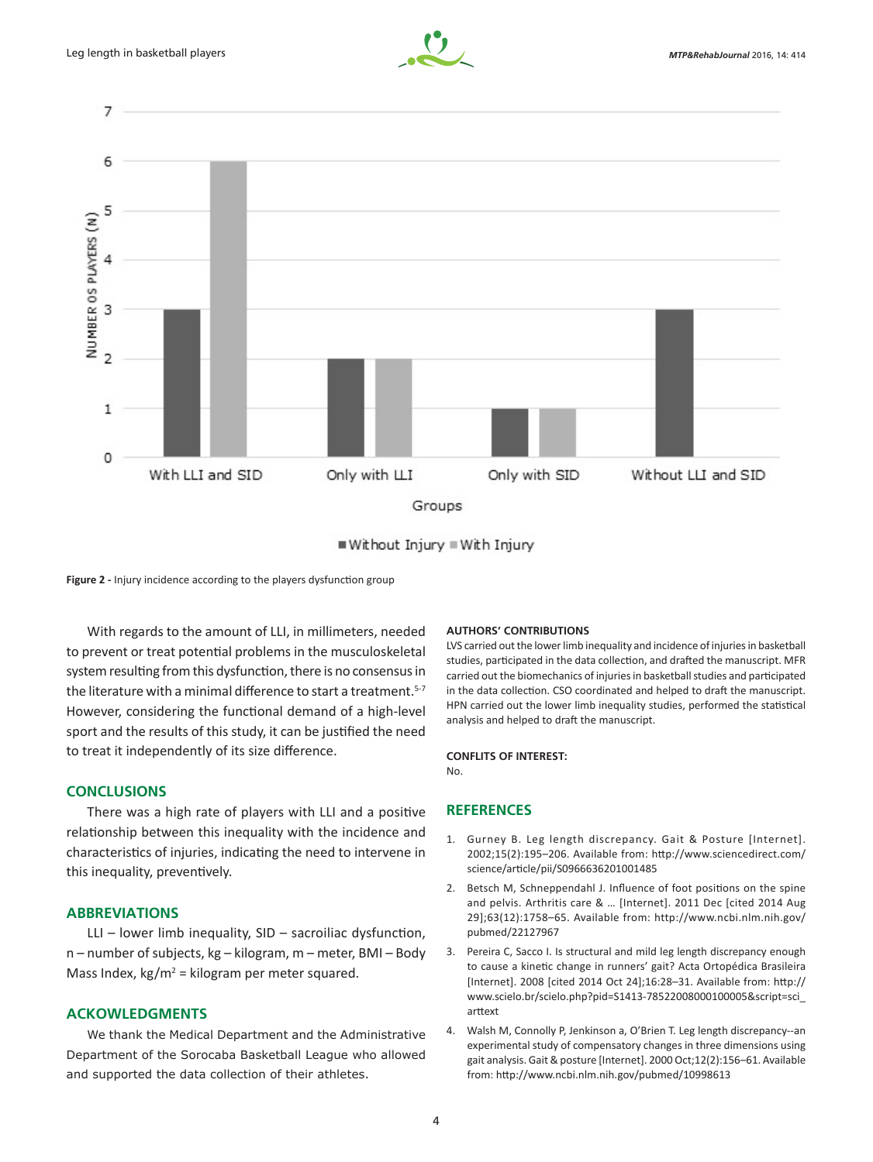



■ Without Injury = With Injury

**Figure 2 -** Injury incidence according to the players dysfunction group

With regards to the amount of LLI, in millimeters, needed to prevent or treat potential problems in the musculoskeletal system resulting from this dysfunction, there is no consensus in the literature with a minimal difference to start a treatment.<sup>5-7</sup> However, considering the functional demand of a high-level sport and the results of this study, it can be justified the need to treat it independently of its size difference.

## **CONCLUSIONS**

There was a high rate of players with LLI and a positive relationship between this inequality with the incidence and characteristics of injuries, indicating the need to intervene in this inequality, preventively.

## **ABBREVIATIONS**

LLI – lower limb inequality,  $SID$  – sacroiliac dysfunction, n – number of subjects, kg – kilogram, m – meter, BMI – Body Mass Index,  $kg/m^2$  = kilogram per meter squared.

## **ACKOWLEDGMENTS**

We thank the Medical Department and the Administrative Department of the Sorocaba Basketball League who allowed and supported the data collection of their athletes.

#### **AUTHORS' CONTRIBUTIONS**

LVS carried out the lower limb inequality and incidence of injuries in basketball studies, participated in the data collection, and drafted the manuscript. MFR carried out the biomechanics of injuries in basketball studies and participated in the data collection. CSO coordinated and helped to draft the manuscript. HPN carried out the lower limb inequality studies, performed the statistical analysis and helped to draft the manuscript.

## **CONFLITS OF INTEREST:**

No.

## **REFERENCES**

- 1. Gurney B. Leg length discrepancy. Gait & Posture [Internet]. 2002;15(2):195–206. Available from: http://www.sciencedirect.com/ science/article/pii/S0966636201001485
- 2. Betsch M, Schneppendahl J. Influence of foot positions on the spine and pelvis. Arthritis care & … [Internet]. 2011 Dec [cited 2014 Aug 29];63(12):1758–65. Available from: http://www.ncbi.nlm.nih.gov/ pubmed/22127967
- 3. Pereira C, Sacco I. Is structural and mild leg length discrepancy enough to cause a kinetic change in runners' gait? Acta Ortopédica Brasileira [Internet]. 2008 [cited 2014 Oct 24];16:28–31. Available from: http:// www.scielo.br/scielo.php?pid=S1413-78522008000100005&script=sci\_ arttext
- 4. Walsh M, Connolly P, Jenkinson a, O'Brien T. Leg length discrepancy--an experimental study of compensatory changes in three dimensions using gait analysis. Gait & posture [Internet]. 2000 Oct;12(2):156–61. Available from: http://www.ncbi.nlm.nih.gov/pubmed/10998613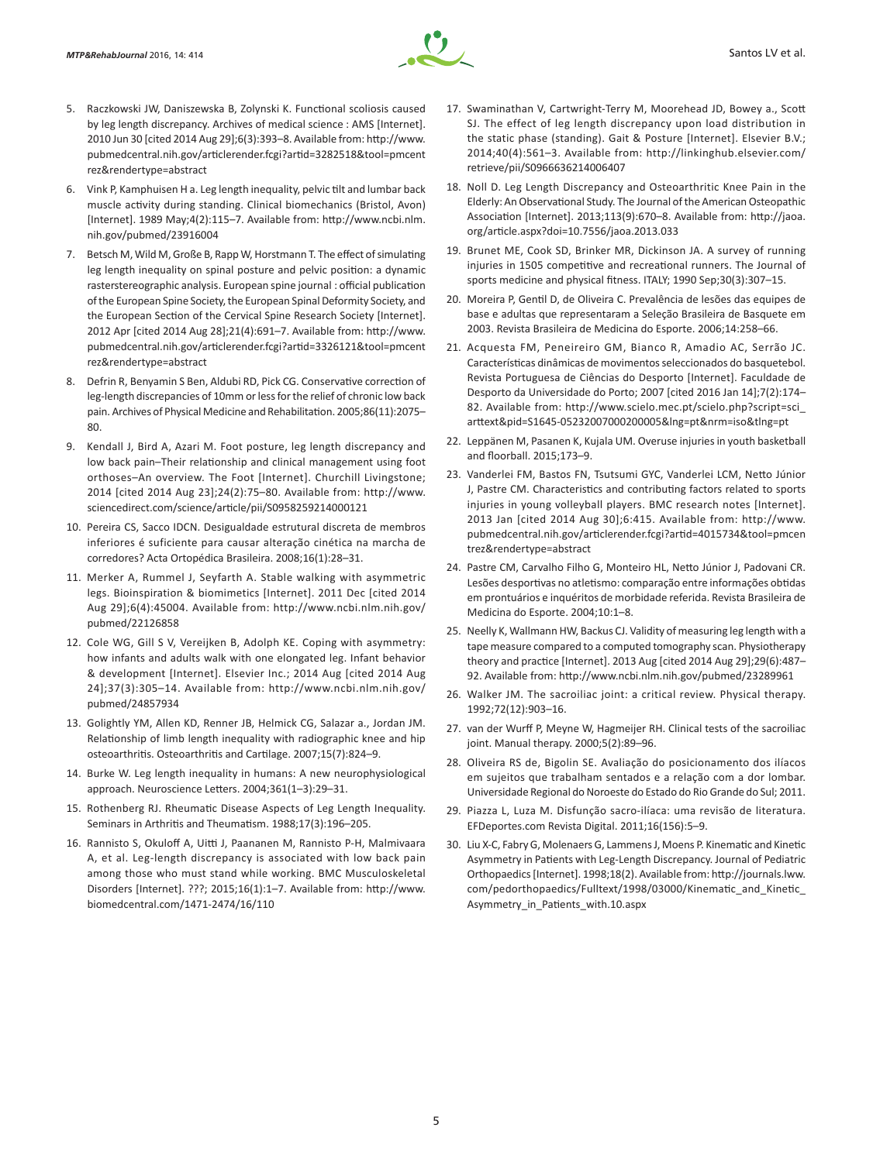

- 5. Raczkowski JW, Daniszewska B, Zolynski K. Functional scoliosis caused by leg length discrepancy. Archives of medical science : AMS [Internet]. 2010 Jun 30 [cited 2014 Aug 29];6(3):393–8. Available from: http://www. pubmedcentral.nih.gov/articlerender.fcgi?artid=3282518&tool=pmcent rez&rendertype=abstract
- 6. Vink P, Kamphuisen H a. Leg length inequality, pelvic tilt and lumbar back muscle activity during standing. Clinical biomechanics (Bristol, Avon) [Internet]. 1989 May;4(2):115–7. Available from: http://www.ncbi.nlm. nih.gov/pubmed/23916004
- 7. Betsch M, Wild M, Große B, Rapp W, Horstmann T. The effect of simulating leg length inequality on spinal posture and pelvic position: a dynamic rasterstereographic analysis. European spine journal : official publication of the European Spine Society, the European Spinal Deformity Society, and the European Section of the Cervical Spine Research Society [Internet]. 2012 Apr [cited 2014 Aug 28];21(4):691–7. Available from: http://www. pubmedcentral.nih.gov/articlerender.fcgi?artid=3326121&tool=pmcent rez&rendertype=abstract
- 8. Defrin R, Benyamin S Ben, Aldubi RD, Pick CG. Conservative correction of leg-length discrepancies of 10mm or less for the relief of chronic low back pain. Archives of Physical Medicine and Rehabilitation. 2005;86(11):2075– 80.
- 9. Kendall J, Bird A, Azari M. Foot posture, leg length discrepancy and low back pain–Their relationship and clinical management using foot orthoses–An overview. The Foot [Internet]. Churchill Livingstone; 2014 [cited 2014 Aug 23];24(2):75–80. Available from: http://www. sciencedirect.com/science/article/pii/S0958259214000121
- 10. Pereira CS, Sacco IDCN. Desigualdade estrutural discreta de membros inferiores é suficiente para causar alteração cinética na marcha de corredores? Acta Ortopédica Brasileira. 2008;16(1):28–31.
- 11. Merker A, Rummel J, Seyfarth A. Stable walking with asymmetric legs. Bioinspiration & biomimetics [Internet]. 2011 Dec [cited 2014 Aug 29];6(4):45004. Available from: http://www.ncbi.nlm.nih.gov/ pubmed/22126858
- 12. Cole WG, Gill S V, Vereijken B, Adolph KE. Coping with asymmetry: how infants and adults walk with one elongated leg. Infant behavior & development [Internet]. Elsevier Inc.; 2014 Aug [cited 2014 Aug 24];37(3):305–14. Available from: http://www.ncbi.nlm.nih.gov/ pubmed/24857934
- 13. Golightly YM, Allen KD, Renner JB, Helmick CG, Salazar a., Jordan JM. Relationship of limb length inequality with radiographic knee and hip osteoarthritis. Osteoarthritis and Cartilage. 2007;15(7):824–9.
- 14. Burke W. Leg length inequality in humans: A new neurophysiological approach. Neuroscience Letters. 2004;361(1–3):29–31.
- 15. Rothenberg RJ. Rheumatic Disease Aspects of Leg Length Inequality. Seminars in Arthritis and Theumatism. 1988;17(3):196–205.
- 16. Rannisto S, Okuloff A, Uitti J, Paananen M, Rannisto P-H, Malmivaara A, et al. Leg-length discrepancy is associated with low back pain among those who must stand while working. BMC Musculoskeletal Disorders [Internet]. ???; 2015;16(1):1–7. Available from: http://www. biomedcentral.com/1471-2474/16/110
- 17. Swaminathan V, Cartwright-Terry M, Moorehead JD, Bowey a., Scott SJ. The effect of leg length discrepancy upon load distribution in the static phase (standing). Gait & Posture [Internet]. Elsevier B.V.; 2014;40(4):561–3. Available from: http://linkinghub.elsevier.com/ retrieve/pii/S0966636214006407
- 18. Noll D. Leg Length Discrepancy and Osteoarthritic Knee Pain in the Elderly: An Observational Study. The Journal of the American Osteopathic Association [Internet]. 2013;113(9):670–8. Available from: http://jaoa. org/article.aspx?doi=10.7556/jaoa.2013.033
- 19. Brunet ME, Cook SD, Brinker MR, Dickinson JA. A survey of running injuries in 1505 competitive and recreational runners. The Journal of sports medicine and physical fitness. ITALY; 1990 Sep;30(3):307–15.
- 20. Moreira P, Gentil D, de Oliveira C. Prevalência de lesões das equipes de base e adultas que representaram a Seleção Brasileira de Basquete em 2003. Revista Brasileira de Medicina do Esporte. 2006;14:258–66.
- 21. Acquesta FM, Peneireiro GM, Bianco R, Amadio AC, Serrão JC. Características dinâmicas de movimentos seleccionados do basquetebol. Revista Portuguesa de Ciências do Desporto [Internet]. Faculdade de Desporto da Universidade do Porto; 2007 [cited 2016 Jan 14];7(2):174– 82. Available from: http://www.scielo.mec.pt/scielo.php?script=sci\_ arttext&pid=S1645-05232007000200005&lng=pt&nrm=iso&tlng=pt
- 22. Leppänen M, Pasanen K, Kujala UM. Overuse injuries in youth basketball and floorball. 2015;173–9.
- 23. Vanderlei FM, Bastos FN, Tsutsumi GYC, Vanderlei LCM, Netto Júnior J, Pastre CM. Characteristics and contributing factors related to sports injuries in young volleyball players. BMC research notes [Internet]. 2013 Jan [cited 2014 Aug 30];6:415. Available from: http://www. pubmedcentral.nih.gov/articlerender.fcgi?artid=4015734&tool=pmcen trez&rendertype=abstract
- 24. Pastre CM, Carvalho Filho G, Monteiro HL, Netto Júnior J, Padovani CR. Lesões desportivas no atletismo: comparação entre informações obtidas em prontuários e inquéritos de morbidade referida. Revista Brasileira de Medicina do Esporte. 2004;10:1–8.
- 25. Neelly K, Wallmann HW, Backus CJ. Validity of measuring leg length with a tape measure compared to a computed tomography scan. Physiotherapy theory and practice [Internet]. 2013 Aug [cited 2014 Aug 29];29(6):487– 92. Available from: http://www.ncbi.nlm.nih.gov/pubmed/23289961
- 26. Walker JM. The sacroiliac joint: a critical review. Physical therapy. 1992;72(12):903–16.
- 27. van der Wurff P, Meyne W, Hagmeijer RH. Clinical tests of the sacroiliac joint. Manual therapy. 2000;5(2):89–96.
- 28. Oliveira RS de, Bigolin SE. Avaliação do posicionamento dos ilíacos em sujeitos que trabalham sentados e a relação com a dor lombar. Universidade Regional do Noroeste do Estado do Rio Grande do Sul; 2011.
- 29. Piazza L, Luza M. Disfunção sacro-ilíaca: uma revisão de literatura. EFDeportes.com Revista Digital. 2011;16(156):5–9.
- 30. Liu X-C, Fabry G, Molenaers G, Lammens J, Moens P. Kinematic and Kinetic Asymmetry in Patients with Leg-Length Discrepancy. Journal of Pediatric Orthopaedics [Internet]. 1998;18(2). Available from: http://journals.lww. com/pedorthopaedics/Fulltext/1998/03000/Kinematic\_and\_Kinetic\_ Asymmetry\_in\_Patients\_with.10.aspx